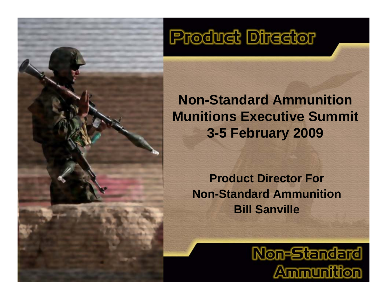## **Product Director**

## **Non-Standard Ammunition Munitions Executive Summit 3-5 February 2009**

**Product Director ForNon-Standard AmmunitionBill Sanville**

> **Non-Standard Ammunition**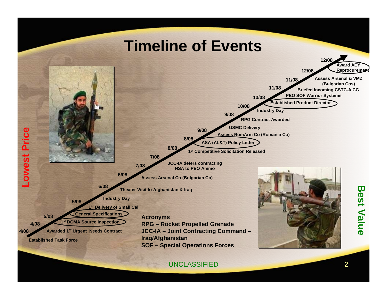

UNCLASSIFIEDD 2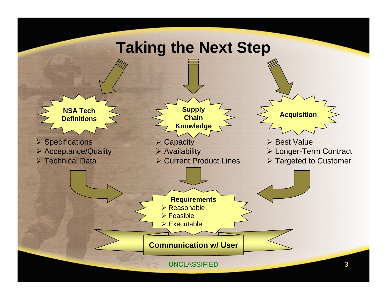